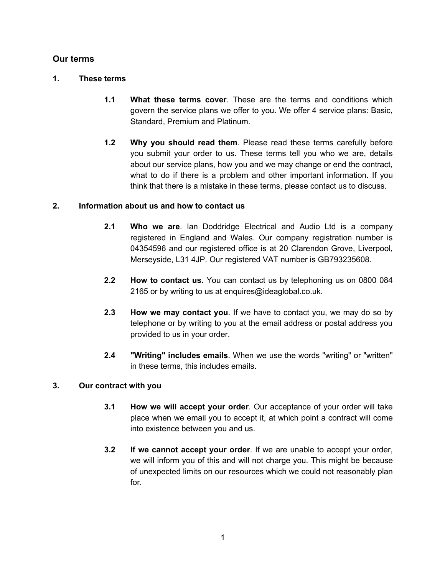# **Our terms**

## **1. These terms**

- **1.1 What these terms cover**. These are the terms and conditions which govern the service plans we offer to you. We offer 4 service plans: Basic, Standard, Premium and Platinum.
- **1.2 Why you should read them**. Please read these terms carefully before you submit your order to us. These terms tell you who we are, details about our service plans, how you and we may change or end the contract, what to do if there is a problem and other important information. If you think that there is a mistake in these terms, please contact us to discuss.

# **2. Information about us and how to contact us**

- **2.1 Who we are**. Ian Doddridge Electrical and Audio Ltd is a company registered in England and Wales. Our company registration number is 04354596 and our registered office is at 20 Clarendon Grove, Liverpool, Merseyside, L31 4JP. Our registered VAT number is GB793235608.
- **2.2 How to contact us**. You can contact us by telephoning us on 0800 084 2165 or by writing to us at enquires@ideaglobal.co.uk.
- **2.3 How we may contact you**. If we have to contact you, we may do so by telephone or by writing to you at the email address or postal address you provided to us in your order.
- **2.4 "Writing" includes emails**. When we use the words "writing" or "written" in these terms, this includes emails.

# **3. Our contract with you**

- **3.1 How we will accept your order**. Our acceptance of your order will take place when we email you to accept it, at which point a contract will come into existence between you and us.
- **3.2 If we cannot accept your order**. If we are unable to accept your order, we will inform you of this and will not charge you. This might be because of unexpected limits on our resources which we could not reasonably plan for.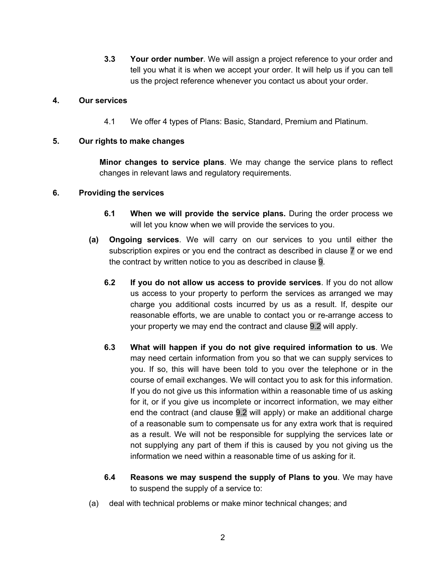**3.3 Your order number**. We will assign a project reference to your order and tell you what it is when we accept your order. It will help us if you can tell us the project reference whenever you contact us about your order.

## **4. Our services**

4.1 We offer 4 types of Plans: Basic, Standard, Premium and Platinum.

#### **5. Our rights to make changes**

**Minor changes to service plans**. We may change the service plans to reflect changes in relevant laws and regulatory requirements.

#### **6. Providing the services**

- **6.1 When we will provide the service plans.** During the order process we will let you know when we will provide the services to you.
- **(a) Ongoing services**. We will carry on our services to you until either the subscription expires or you end the contract as described in clause 7 or we end the contract by written notice to you as described in clause 9.
	- **6.2 If you do not allow us access to provide services**. If you do not allow us access to your property to perform the services as arranged we may charge you additional costs incurred by us as a result. If, despite our reasonable efforts, we are unable to contact you or re-arrange access to your property we may end the contract and clause 9.2 will apply.
	- **6.3 What will happen if you do not give required information to us**. We may need certain information from you so that we can supply services to you. If so, this will have been told to you over the telephone or in the course of email exchanges. We will contact you to ask for this information. If you do not give us this information within a reasonable time of us asking for it, or if you give us incomplete or incorrect information, we may either end the contract (and clause 9.2 will apply) or make an additional charge of a reasonable sum to compensate us for any extra work that is required as a result. We will not be responsible for supplying the services late or not supplying any part of them if this is caused by you not giving us the information we need within a reasonable time of us asking for it.
	- **6.4 Reasons we may suspend the supply of Plans to you**. We may have to suspend the supply of a service to:
- (a) deal with technical problems or make minor technical changes; and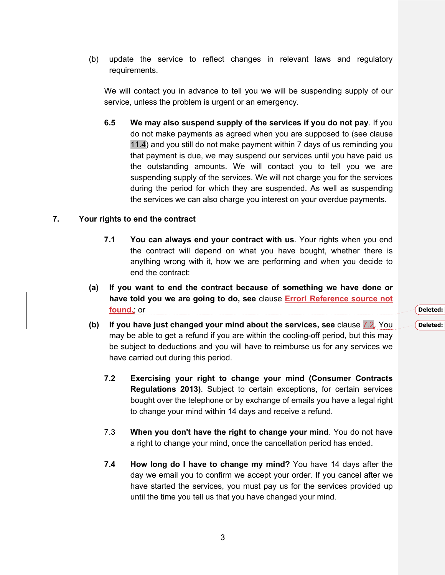(b) update the service to reflect changes in relevant laws and regulatory requirements.

We will contact you in advance to tell you we will be suspending supply of our service, unless the problem is urgent or an emergency.

**6.5 We may also suspend supply of the services if you do not pay**. If you do not make payments as agreed when you are supposed to (see clause 11.4) and you still do not make payment within 7 days of us reminding you that payment is due, we may suspend our services until you have paid us the outstanding amounts. We will contact you to tell you we are suspending supply of the services. We will not charge you for the services during the period for which they are suspended. As well as suspending the services we can also charge you interest on your overdue payments.

#### **7. Your rights to end the contract**

- **7.1 You can always end your contract with us**. Your rights when you end the contract will depend on what you have bought, whether there is anything wrong with it, how we are performing and when you decide to end the contract:
- **(a) If you want to end the contract because of something we have done or have told you we are going to do, see** clause **Error! Reference source not found.**; or
- **(b) If you have just changed your mind about the services, see** clause 7.2. You may be able to get a refund if you are within the cooling-off period, but this may be subject to deductions and you will have to reimburse us for any services we have carried out during this period.
	- **7.2 Exercising your right to change your mind (Consumer Contracts Regulations 2013)**. Subject to certain exceptions, for certain services bought over the telephone or by exchange of emails you have a legal right to change your mind within 14 days and receive a refund.
	- 7.3 **When you don't have the right to change your mind**. You do not have a right to change your mind, once the cancellation period has ended.
	- **7.4 How long do I have to change my mind?** You have 14 days after the day we email you to confirm we accept your order. If you cancel after we have started the services, you must pay us for the services provided up until the time you tell us that you have changed your mind.

**Deleted:** 7.2 **Deleted:** 7.3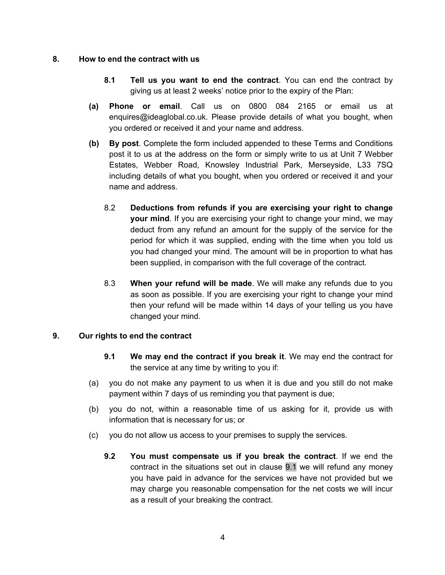## **8. How to end the contract with us**

- **8.1 Tell us you want to end the contract**. You can end the contract by giving us at least 2 weeks' notice prior to the expiry of the Plan:
- **(a) Phone or email**. Call us on 0800 084 2165 or email us at enquires@ideaglobal.co.uk. Please provide details of what you bought, when you ordered or received it and your name and address.
- **(b) By post**. Complete the form included appended to these Terms and Conditions post it to us at the address on the form or simply write to us at Unit 7 Webber Estates, Webber Road, Knowsley Industrial Park, Merseyside, L33 7SQ including details of what you bought, when you ordered or received it and your name and address.
	- 8.2 **Deductions from refunds if you are exercising your right to change your mind**. If you are exercising your right to change your mind, we may deduct from any refund an amount for the supply of the service for the period for which it was supplied, ending with the time when you told us you had changed your mind. The amount will be in proportion to what has been supplied, in comparison with the full coverage of the contract.
	- 8.3 **When your refund will be made**. We will make any refunds due to you as soon as possible. If you are exercising your right to change your mind then your refund will be made within 14 days of your telling us you have changed your mind.

### **9. Our rights to end the contract**

- **9.1 We may end the contract if you break it**. We may end the contract for the service at any time by writing to you if:
- (a) you do not make any payment to us when it is due and you still do not make payment within 7 days of us reminding you that payment is due;
- (b) you do not, within a reasonable time of us asking for it, provide us with information that is necessary for us; or
- (c) you do not allow us access to your premises to supply the services.
	- **9.2 You must compensate us if you break the contract**. If we end the contract in the situations set out in clause 9.1 we will refund any money you have paid in advance for the services we have not provided but we may charge you reasonable compensation for the net costs we will incur as a result of your breaking the contract.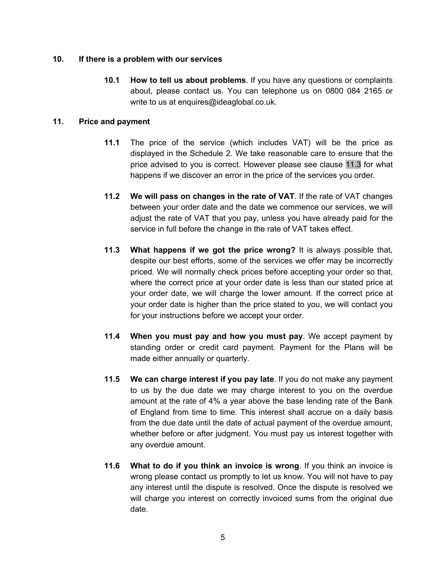#### **10. If there is a problem with our services**

**10.1 How to tell us about problems**. If you have any questions or complaints about, please contact us. You can telephone us on 0800 084 2165 or write to us at enquires@ideaglobal.co.uk.

### **11. Price and payment**

- **11.1** The price of the service (which includes VAT) will be the price as displayed in the Schedule 2. We take reasonable care to ensure that the price advised to you is correct. However please see clause 11.3 for what happens if we discover an error in the price of the services you order.
- **11.2 We will pass on changes in the rate of VAT**. If the rate of VAT changes between your order date and the date we commence our services, we will adjust the rate of VAT that you pay, unless you have already paid for the service in full before the change in the rate of VAT takes effect.
- **11.3 What happens if we got the price wrong?** It is always possible that, despite our best efforts, some of the services we offer may be incorrectly priced. We will normally check prices before accepting your order so that, where the correct price at your order date is less than our stated price at your order date, we will charge the lower amount. If the correct price at your order date is higher than the price stated to you, we will contact you for your instructions before we accept your order.
- **11.4 When you must pay and how you must pay**. We accept payment by standing order or credit card payment. Payment for the Plans will be made either annually or quarterly.
- **11.5 We can charge interest if you pay late**. If you do not make any payment to us by the due date we may charge interest to you on the overdue amount at the rate of 4% a year above the base lending rate of the Bank of England from time to time. This interest shall accrue on a daily basis from the due date until the date of actual payment of the overdue amount, whether before or after judgment. You must pay us interest together with any overdue amount.
- **11.6 What to do if you think an invoice is wrong**. If you think an invoice is wrong please contact us promptly to let us know. You will not have to pay any interest until the dispute is resolved. Once the dispute is resolved we will charge you interest on correctly invoiced sums from the original due date.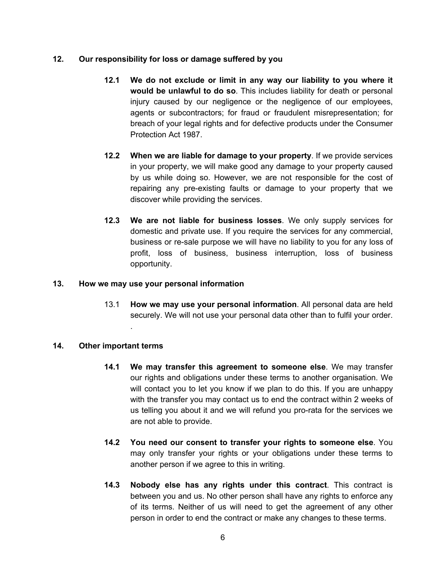## **12. Our responsibility for loss or damage suffered by you**

- **12.1 We do not exclude or limit in any way our liability to you where it would be unlawful to do so**. This includes liability for death or personal injury caused by our negligence or the negligence of our employees, agents or subcontractors; for fraud or fraudulent misrepresentation; for breach of your legal rights and for defective products under the Consumer Protection Act 1987.
- **12.2 When we are liable for damage to your property**. If we provide services in your property, we will make good any damage to your property caused by us while doing so. However, we are not responsible for the cost of repairing any pre-existing faults or damage to your property that we discover while providing the services.
- **12.3 We are not liable for business losses**. We only supply services for domestic and private use. If you require the services for any commercial, business or re-sale purpose we will have no liability to you for any loss of profit, loss of business, business interruption, loss of business opportunity.

### **13. How we may use your personal information**

.

13.1 **How we may use your personal information**. All personal data are held securely. We will not use your personal data other than to fulfil your order.

### **14. Other important terms**

- **14.1 We may transfer this agreement to someone else**. We may transfer our rights and obligations under these terms to another organisation. We will contact you to let you know if we plan to do this. If you are unhappy with the transfer you may contact us to end the contract within 2 weeks of us telling you about it and we will refund you pro-rata for the services we are not able to provide.
- **14.2 You need our consent to transfer your rights to someone else**. You may only transfer your rights or your obligations under these terms to another person if we agree to this in writing.
- **14.3 Nobody else has any rights under this contract**. This contract is between you and us. No other person shall have any rights to enforce any of its terms. Neither of us will need to get the agreement of any other person in order to end the contract or make any changes to these terms.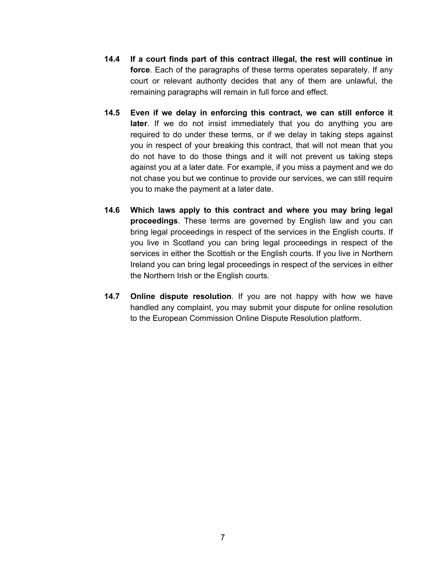- **14.4 If a court finds part of this contract illegal, the rest will continue in force**. Each of the paragraphs of these terms operates separately. If any court or relevant authority decides that any of them are unlawful, the remaining paragraphs will remain in full force and effect.
- **14.5 Even if we delay in enforcing this contract, we can still enforce it later**. If we do not insist immediately that you do anything you are required to do under these terms, or if we delay in taking steps against you in respect of your breaking this contract, that will not mean that you do not have to do those things and it will not prevent us taking steps against you at a later date. For example, if you miss a payment and we do not chase you but we continue to provide our services, we can still require you to make the payment at a later date.
- **14.6 Which laws apply to this contract and where you may bring legal proceedings**. These terms are governed by English law and you can bring legal proceedings in respect of the services in the English courts. If you live in Scotland you can bring legal proceedings in respect of the services in either the Scottish or the English courts. If you live in Northern Ireland you can bring legal proceedings in respect of the services in either the Northern Irish or the English courts.
- **14.7 Online dispute resolution**. If you are not happy with how we have handled any complaint, you may submit your dispute for online resolution to the European Commission Online Dispute Resolution platform.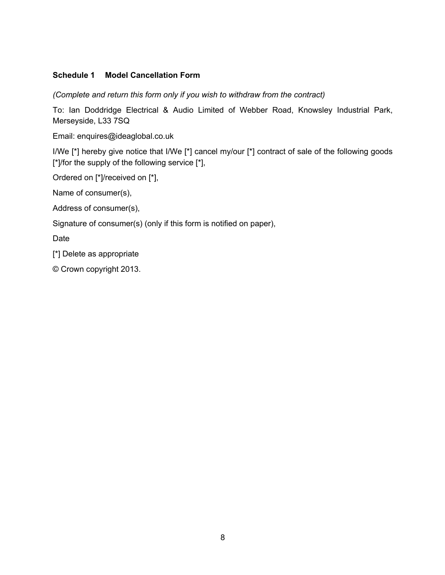# **Schedule 1 Model Cancellation Form**

*(Complete and return this form only if you wish to withdraw from the contract)*

To: Ian Doddridge Electrical & Audio Limited of Webber Road, Knowsley Industrial Park, Merseyside, L33 7SQ

Email: enquires@ideaglobal.co.uk

I/We [\*] hereby give notice that I/We [\*] cancel my/our [\*] contract of sale of the following goods [\*]/for the supply of the following service [\*],

Ordered on [\*]/received on [\*],

Name of consumer(s),

Address of consumer(s),

Signature of consumer(s) (only if this form is notified on paper),

Date

[\*] Delete as appropriate

© Crown copyright 2013.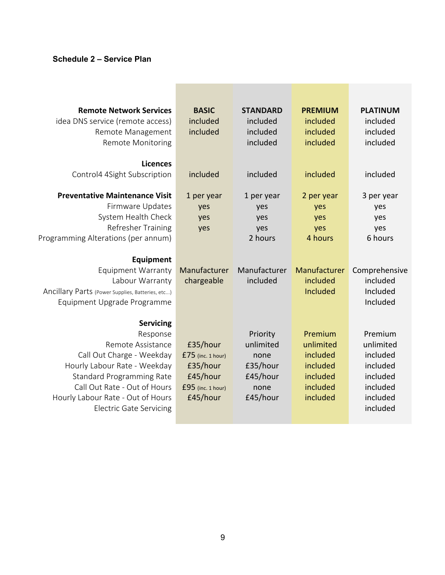# **Schedule 2 – Service Plan**

| <b>Remote Network Services</b><br>idea DNS service (remote access)<br>Remote Management<br><b>Remote Monitoring</b>                                                                                                                                                                           | <b>BASIC</b><br>included<br>included                                                       | <b>STANDARD</b><br>included<br>included<br>included                       | <b>PREMIUM</b><br>included<br>included<br>included                                 | <b>PLATINUM</b><br>included<br>included<br>included                                             |
|-----------------------------------------------------------------------------------------------------------------------------------------------------------------------------------------------------------------------------------------------------------------------------------------------|--------------------------------------------------------------------------------------------|---------------------------------------------------------------------------|------------------------------------------------------------------------------------|-------------------------------------------------------------------------------------------------|
| <b>Licences</b><br>Control4 4Sight Subscription                                                                                                                                                                                                                                               | included                                                                                   | included                                                                  | included                                                                           | included                                                                                        |
| <b>Preventative Maintenance Visit</b><br>Firmware Updates<br>System Health Check<br>Refresher Training<br>Programming Alterations (per annum)<br>Equipment<br><b>Equipment Warranty</b><br>Labour Warranty<br>Ancillary Parts (Power Supplies, Batteries, etc)<br>Equipment Upgrade Programme | 1 per year<br>yes<br>yes<br>yes<br>Manufacturer<br>chargeable                              | 1 per year<br>yes<br>yes<br>yes<br>2 hours<br>Manufacturer<br>included    | 2 per year<br>yes<br>yes<br>yes<br>4 hours<br>Manufacturer<br>included<br>Included | 3 per year<br>yes<br>yes<br>yes<br>6 hours<br>Comprehensive<br>included<br>Included<br>Included |
| <b>Servicing</b><br>Response<br>Remote Assistance<br>Call Out Charge - Weekday<br>Hourly Labour Rate - Weekday<br><b>Standard Programming Rate</b><br>Call Out Rate - Out of Hours<br>Hourly Labour Rate - Out of Hours<br><b>Electric Gate Servicing</b>                                     | £35/hour<br>$£75$ (inc. 1 hour)<br>£35/hour<br>£45/hour<br>$£95$ (inc. 1 hour)<br>£45/hour | Priority<br>unlimited<br>none<br>£35/hour<br>£45/hour<br>none<br>£45/hour | Premium<br>unlimited<br>included<br>included<br>included<br>included<br>included   | Premium<br>unlimited<br>included<br>included<br>included<br>included<br>included<br>included    |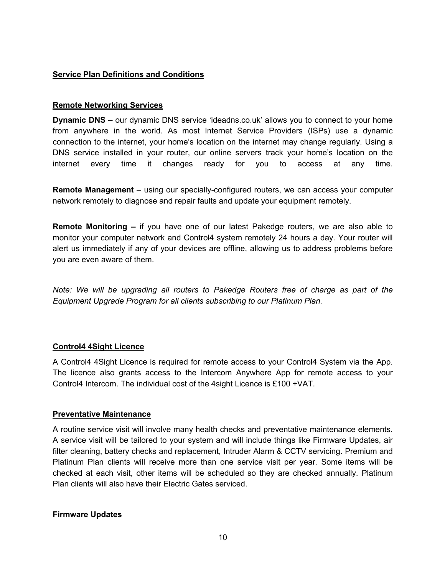## **Service Plan Definitions and Conditions**

#### **Remote Networking Services**

**Dynamic DNS** – our dynamic DNS service 'ideadns.co.uk' allows you to connect to your home from anywhere in the world. As most Internet Service Providers (ISPs) use a dynamic connection to the internet, your home's location on the internet may change regularly. Using a DNS service installed in your router, our online servers track your home's location on the internet every time it changes ready for you to access at any time.

**Remote Management** – using our specially-configured routers, we can access your computer network remotely to diagnose and repair faults and update your equipment remotely.

**Remote Monitoring –** if you have one of our latest Pakedge routers, we are also able to monitor your computer network and Control4 system remotely 24 hours a day. Your router will alert us immediately if any of your devices are offline, allowing us to address problems before you are even aware of them.

*Note: We will be upgrading all routers to Pakedge Routers free of charge as part of the Equipment Upgrade Program for all clients subscribing to our Platinum Plan.*

### **Control4 4Sight Licence**

A Control4 4Sight Licence is required for remote access to your Control4 System via the App. The licence also grants access to the Intercom Anywhere App for remote access to your Control4 Intercom. The individual cost of the 4sight Licence is £100 +VAT.

### **Preventative Maintenance**

A routine service visit will involve many health checks and preventative maintenance elements. A service visit will be tailored to your system and will include things like Firmware Updates, air filter cleaning, battery checks and replacement, Intruder Alarm & CCTV servicing. Premium and Platinum Plan clients will receive more than one service visit per year. Some items will be checked at each visit, other items will be scheduled so they are checked annually. Platinum Plan clients will also have their Electric Gates serviced.

### **Firmware Updates**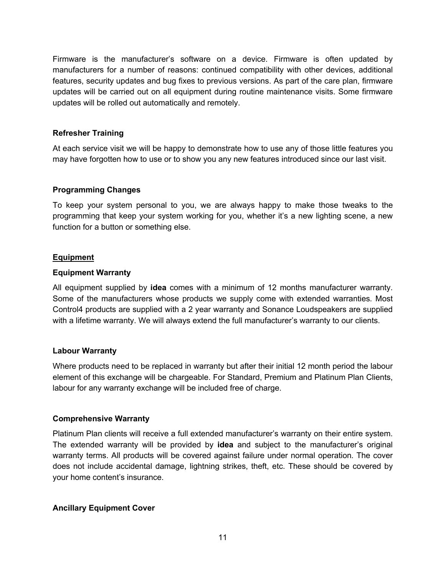Firmware is the manufacturer's software on a device. Firmware is often updated by manufacturers for a number of reasons: continued compatibility with other devices, additional features, security updates and bug fixes to previous versions. As part of the care plan, firmware updates will be carried out on all equipment during routine maintenance visits. Some firmware updates will be rolled out automatically and remotely.

## **Refresher Training**

At each service visit we will be happy to demonstrate how to use any of those little features you may have forgotten how to use or to show you any new features introduced since our last visit.

# **Programming Changes**

To keep your system personal to you, we are always happy to make those tweaks to the programming that keep your system working for you, whether it's a new lighting scene, a new function for a button or something else.

# **Equipment**

### **Equipment Warranty**

All equipment supplied by **idea** comes with a minimum of 12 months manufacturer warranty. Some of the manufacturers whose products we supply come with extended warranties. Most Control4 products are supplied with a 2 year warranty and Sonance Loudspeakers are supplied with a lifetime warranty. We will always extend the full manufacturer's warranty to our clients.

### **Labour Warranty**

Where products need to be replaced in warranty but after their initial 12 month period the labour element of this exchange will be chargeable. For Standard, Premium and Platinum Plan Clients, labour for any warranty exchange will be included free of charge.

### **Comprehensive Warranty**

Platinum Plan clients will receive a full extended manufacturer's warranty on their entire system. The extended warranty will be provided by **idea** and subject to the manufacturer's original warranty terms. All products will be covered against failure under normal operation. The cover does not include accidental damage, lightning strikes, theft, etc. These should be covered by your home content's insurance.

### **Ancillary Equipment Cover**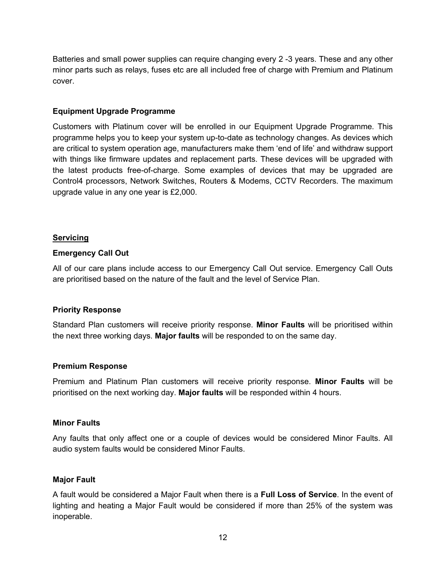Batteries and small power supplies can require changing every 2 -3 years. These and any other minor parts such as relays, fuses etc are all included free of charge with Premium and Platinum cover.

### **Equipment Upgrade Programme**

Customers with Platinum cover will be enrolled in our Equipment Upgrade Programme. This programme helps you to keep your system up-to-date as technology changes. As devices which are critical to system operation age, manufacturers make them 'end of life' and withdraw support with things like firmware updates and replacement parts. These devices will be upgraded with the latest products free-of-charge. Some examples of devices that may be upgraded are Control4 processors, Network Switches, Routers & Modems, CCTV Recorders. The maximum upgrade value in any one year is £2,000.

#### **Servicing**

#### **Emergency Call Out**

All of our care plans include access to our Emergency Call Out service. Emergency Call Outs are prioritised based on the nature of the fault and the level of Service Plan.

#### **Priority Response**

Standard Plan customers will receive priority response. **Minor Faults** will be prioritised within the next three working days. **Major faults** will be responded to on the same day.

#### **Premium Response**

Premium and Platinum Plan customers will receive priority response. **Minor Faults** will be prioritised on the next working day. **Major faults** will be responded within 4 hours.

#### **Minor Faults**

Any faults that only affect one or a couple of devices would be considered Minor Faults. All audio system faults would be considered Minor Faults.

#### **Major Fault**

A fault would be considered a Major Fault when there is a **Full Loss of Service**. In the event of lighting and heating a Major Fault would be considered if more than 25% of the system was inoperable.